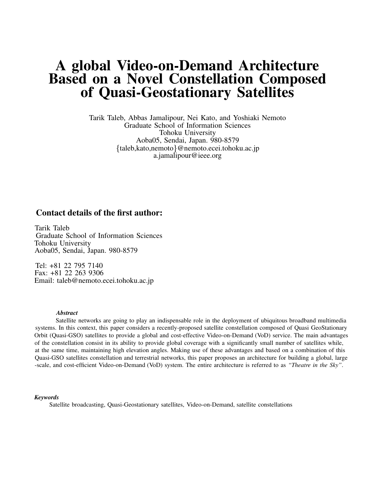## **A global Video-on-Demand Architecture Based on a Novel Constellation Composed of Quasi-Geostationary Satellites**

Tarik Taleb, Abbas Jamalipour, Nei Kato, and Yoshiaki Nemoto Graduate School of Information Sciences Tohoku University Aoba05, Sendai, Japan. 980-8579 taleb,kato,nemoto @nemoto.ecei.tohoku.ac.jp a.jamalipour@ieee.org

### **Contact details of the first author:**

Tarik Taleb Graduate School of Information Sciences Tohoku University Aoba05, Sendai, Japan. 980-8579

Tel: +81 22 795 7140 Fax: +81 22 263 9306 Email: taleb@nemoto.ecei.tohoku.ac.jp

#### *Abstract*

Satellite networks are going to play an indispensable role in the deployment of ubiquitous broadband multimedia systems. In this context, this paper considers a recently-proposed satellite constellation composed of Quasi GeoStationary Orbit (Quasi-GSO) satellites to provide a global and cost-effective Video-on-Demand (VoD) service. The main advantages of the constellation consist in its ability to provide global coverage with a significantly small number of satellites while, at the same time, maintaining high elevation angles. Making use of these advantages and based on a combination of this Quasi-GSO satellites constellation and terrestrial networks, this paper proposes an architecture for building a global, large -scale, and cost-efficient Video-on-Demand (VoD) system. The entire architecture is referred to as *"Theatre in the Sky"*.

#### *Keywords*

Satellite broadcasting, Quasi-Geostationary satellites, Video-on-Demand, satellite constellations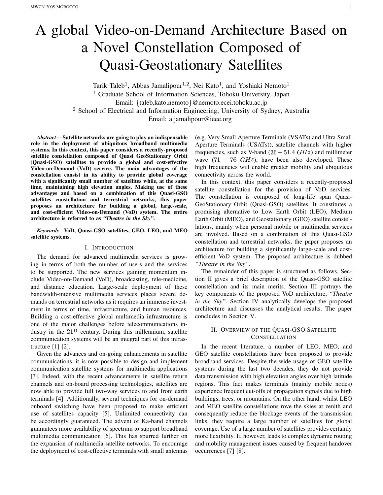# A global Video-on-Demand Architecture Based on a Novel Constellation Composed of Quasi-Geostationary Satellites

Tarik Taleb<sup>1</sup>, Abbas Jamalipour<sup>1,2</sup>, Nei Kato<sup>1</sup>, and Yoshiaki Nemoto <sup>1</sup> Graduate School of Information Sciences, Tohoku University, Japan Email: {taleb,kato,nemoto} @nemoto.ecei.tohoku.ac.jp <sup>2</sup> School of Electrical and Information Engineering, University of Sydney, Australia Email: a.jamalipour@ieee.org

*Abstract***— Satellite networks are going to play an indispensable role in the deployment of ubiquitous broadband multimedia systems. In this context, this paper considers a recently-proposed satellite constellation composed of Quasi GeoStationary Orbit (Quasi-GSO) satellites to provide a global and cost-effective Video-on-Demand (VoD) service. The main advantages of the constellation consist in its ability to provide global coverage with a significantly small number of satellites while, at the same time, maintaining high elevation angles. Making use of these advantages and based on a combination of this Quasi-GSO satellites constellation and terrestrial networks, this paper proposes an architecture for building a global, large-scale, and cost-efficient Video-on-Demand (VoD) system. The entire architecture is referred to as** *"Theatre in the Sky"***.**

#### *Keywords–* **VoD, Quasi-GSO satellites, GEO, LEO, and MEO satellite systems.**

#### I. INTRODUCTION

The demand for advanced multimedia services is growing in terms of both the number of users and the services to be supported. The new services gaining momentum include Video-on-Demand (VoD), broadcasting, tele-medicine, and distance education. Large-scale deployment of these bandwidth-intensive multimedia services places severe demands on terrestrial networks as it requires an immense investment in terms of time, infrastructure, and human resources. Building a cost-effective global multimedia infrastructure is one of the major challenges before telecommunications industry in the  $21^{st}$  century. During this millennium, satellite communication systems will be an integral part of this infrastructure [1] [2].

Given the advances and on-going enhancements in satellite communications, it is now possible to design and implement communication satellite systems for multimedia applications [3]. Indeed, with the recent advancements in satellite return channels and on-board processing technologies, satellites are now able to provide full two-way services to and from earth terminals [4]. Additionally, several techniques for on-demand onboard switching have been proposed to make efficient use of satellites capacity [5]. Unlimited connectivity can be accordingly guaranteed. The advent of Ka-band channels guarantees more availability of spectrum to support broadband multimedia communication [6]. This has spurred further on the expansion of multimedia satellite networks. To encourage the deployment of cost-effective terminals with small antennas (e.g. Very Small Aperture Terminals (VSATs) and Ultra Small Aperture Terminals (USATs)), satellite channels with higher frequencies, such as V-band  $(36 - 51.4 \text{ } GHz)$  and millimeter wave  $(71 - 76 \text{ GHz})$ , have been also developed. These high frequencies will enable greater mobility and ubiquitous connectivity across the world.

In this context, this paper considers a recently-proposed satellite constellation for the provision of VoD services. The constellation is composed of long-life span Quasi-GeoStationary Orbit (Quasi-GSO) satellites. It constitutes a promising alternative to Low Earth Orbit (LEO), Medium Earth Orbit (MEO), and Geostationary (GEO) satellite constellations, mainly when personal mobile or multimedia services are involved. Based on a combination of this Quasi-GSO constellation and terrestrial networks, the paper proposes an architecture for building a significantly large-scale and costefficient VoD system. The proposed architecture is dubbed *"Theatre in the Sky"*.

The remainder of this paper is structured as follows. Section II gives a brief description of the Quasi-GSO satellite constellation and its main merits. Section III portrays the key components of the proposed VoD architecture, *"Theatre in the Sky"*. Section IV analytically develops the proposed architecture and discusses the analytical results. The paper concludes in Section V.

#### II. OVERVIEW OF THE QUASI-GSO SATELLITE **CONSTELLATION**

In the recent literature, a number of LEO, MEO, and GEO satellite constellations have been proposed to provide broadband services. Despite the wide usage of GEO satellite systems during the last two decades, they do not provide data transmission with high elevation angles over high latitude regions. This fact makes terminals (mainly mobile nodes) experience frequent cut-offs of propagation signals due to high buildings, trees, or mountains. On the other hand, whilst LEO and MEO satellite constellations rove the skies at zenith and consequently reduce the blockage events of the transmission links, they require a large number of satellites for global coverage. Use of a large number of satellites provides certainly more flexibility. It, however, leads to complex dynamic routing and mobility management issues caused by frequent handover occurrences [7] [8].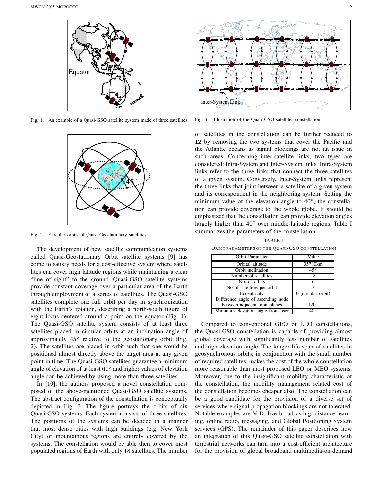

Fig. 1. An example of a Quasi-GSO satellite system made of three satellites



Fig. 2. Circular orbits of Quasi-Geostationary satellites

The development of new satellite communication systems called Quasi-Geostationary Orbit satellite systems [9] has come to satisfy needs for a cost-effective system where satellites can cover high latitude regions while maintaining a clear "line of sight" to the ground. Quasi-GSO satellite systems provide constant coverage over a particular area of the Earth through employment of a series of satellites. The Quasi-GSO satellites complete one full orbit per day in synchronization with the Earth's rotation, describing a north-south figure of eight locus centered around a point on the equator (Fig. 1). The Quasi-GSO satellite system consists of at least three satellites placed in circular orbits at an inclination angle of approximately  $45^{\circ}$  relative to the geostationary orbit (Fig. 2). The satellites are placed in orbit such that one would be positioned almost directly above the target area at any given point in time. The Quasi-GSO satellites guarantee a minimum angle of elevation of at least  $60^{\circ}$  and higher values of elevation angle can be achieved by using more than three satellites.

In [10], the authors proposed a novel constellation composed of the above-mentioned Quasi-GSO satellite systems. The abstract configuration of the constellation is conceptually depicted in Fig. 3. The figure portrays the orbits of six Quasi-GSO systems. Each system consists of three satellites. The positions of the systems can be decided in a manner that most dense cities with high buildings (e.g. New York City) or mountainous regions are entirely covered by the systems. The constellation would be able then to cover most populated regions of Earth with only 18 satellites. The number



Fig. 3. Illustration of the Quasi-GSO satellites constellation

of satellites in the constellation can be further reduced to 12 by removing the two systems that cover the Pacific and the Atlantic oceans as signal blockings are not an issue in such areas. Concerning inter-satellite links, two types are considered: Intra-System and Inter-System links. Intra-System links refer to the three links that connect the three satellites of a given system. Conversely, Inter-System links represent the three links that joint between a satellite of a given system and its correspondent in the neighboring system. Setting the minimum value of the elevation angle to  $40^{\circ}$ , the constellation can provide coverage to the whole globe. It should be emphasized that the constellation can provide elevation angles largely higher than  $40^{\circ}$  over middle-latitude regions. Table I summarizes the parameters of the constellation.

| Orbit Parameter                    | Value              |
|------------------------------------|--------------------|
| Orbital altitude                   | 35780km            |
| Orbit inclination                  | $45^\circ$         |
| Number of satellites               | 18                 |
| No. of orbits                      |                    |
| No of satellites per orbit         | 3                  |
| Eccentricity                       | 0 (circular orbit) |
| Difference angle of ascending node |                    |
| between adjacent orbit planes      | $120^\circ$        |
| Minimum elevation angle from user  | 40°                |

TABLE I ORBIT PARAMETERS OF THE QUASI-GSO CONSTELLATION

Compared to conventional GEO or LEO constellations, the Quasi-GSO constellation is capable of providing almost global coverage with significantly less number of satellites and high elevation angle. The longer life span of satellites in geosynchronous orbits, in conjunction with the small number of required satellites, makes the cost of the whole constellation more reasonable than most proposed LEO or MEO systems. Moreover, due to the insignificant mobility characteristic of the constellation, the mobility management related cost of the constellation becomes cheaper also. The constellation can be a good candidate for the provision of a diverse set of services where signal propagation blockings are not tolerated. Notable examples are VoD, live broadcasting, distance learning, online radio, messaging, and Global Positioning System services (GPS). The remainder of this paper describes how an integration of this Quasi-GSO satellite constellation with terrestrial networks can turn into a cost-efficient architecture for the provision of global broadband multimedia-on-demand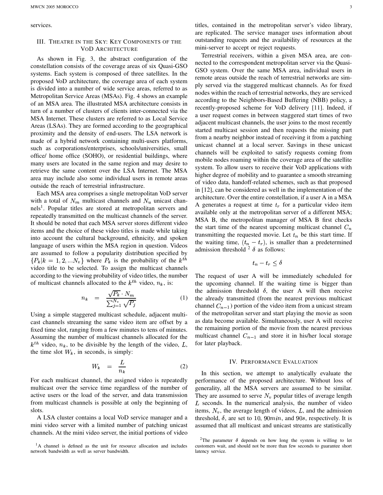services.

#### III. THEATRE IN THE SKY: KEY COMPONENTS OF THE VOD ARCHITECTURE

As shown in Fig. 3, the abstract configuration of the constellation consists of the coverage areas of six Quasi-GSO systems. Each system is composed of three satellites. In the proposed VoD architecture, the coverage area of each system is divided into a number of wide service areas, referred to as Metropolitan Service Areas (MSAs). Fig. 4 shows an example of an MSA area. The illustrated MSA architecture consists in turn of a number of clusters of clients inter-connected via the MSA Internet. These clusters are referred to as Local Service Areas (LSAs). They are formed according to the geographical proximity and the density of end-users. The LSA network is made of a hybrid network containing multi-users platforms, such as corporations/enterprises, schools/universities, small office/ home office (SOHO), or residential buildings, where many users are located in the same region and may desire to retrieve the same content over the LSA Internet. The MSA area may include also some individual users in remote areas outside the reach of terrestrial infrastructure.

Each MSA area comprises a single metropolitan VoD server with a total of  $N_m$  multicast channels and  $N_u$  unicast channels<sup>1</sup>. Popular titles are stored at metropolitan servers and repeatedly transmitted on the multicast channels of the server. It should be noted that each MSA server stores different video items and the choice of these video titles is made while taking into account the cultural background, ethnicity, and spoken language of users within the MSA region in question. Videos are assumed to follow a popularity distribution specified by  $\{P_k | k = 1, 2, ... N_v\}$  where  $P_k$  is the probability of the  $k^{th}$ video title to be selected. To assign the multicast channels according to the viewing probability of video titles, the number of multicast channels allocated to the  $k^{th}$  video,  $n_k$ , is:

$$
n_k = \frac{\sqrt{P_k} \cdot N_m}{\sum_{j=1}^{N_v} \sqrt{P_j}} \tag{1}
$$

Using a simple staggered multicast schedule, adjacent multicast channels streaming the same video item are offset by a fixed time slot, ranging from a few minutes to tens of minutes. Assuming the number of multicast channels allocated for the  $k^{th}$  video,  $n_k$ , to be divisible by the length of the video, L, the time slot  $W_k$ , in seconds, is simply:

$$
W_k = \frac{L}{n_k} \tag{2}
$$

For each multicast channel, the assigned video is repeatedly multicast over the service time regardless of the number of active users or the load of the server, and data transmission from multicast channels is possible at only the beginning of slots.

A LSA cluster contains a local VoD service manager and a mini video server with a limited number of patching unicast channels. At the mini video server, the initial portions of video

<sup>1</sup>A channel is defined as the unit for resource allocation and includes network bandwidth as well as server bandwidth.

titles, contained in the metropolitan server's video library, are replicated. The service manager uses information about outstanding requests and the availability of resources at the mini-server to accept or reject requests.

Terrestrial receivers, within a given MSA area, are connected to the correspondent metropolitan server via the Quasi-GSO system. Over the same MSA area, individual users in remote areas outside the reach of terrestrial networks are simply served via the staggered multicast channels. As for fixed nodes within the reach of terrestrial networks, they are serviced according to the Neighbors-Based Buffering (NBB) policy, a recently-proposed scheme for VoD delivery [11]. Indeed, if a user request comes in between staggered start times of two adjacent multicast channels, the user joins to the most recently started multicast session and then requests the missing part from a nearby neighbor instead of receiving it from a patching unicast channel at a local server. Savings in these unicast channels will be exploited to satisfy requests coming from mobile nodes roaming within the coverage area of the satellite system. To allow users to receive their VoD applications with higher degree of mobility and to guarantee a smooth streaming of video data, handoff-related schemes, such as that proposed in [12], can be considered as well in the implementation of the architecture. Over the entire constellation, if a user A in a MSA A generates a request at time  $t_r$  for a particular video item available only at the metropolitan server of a different MSA; MSA B, the metropolitan manager of MSA B first checks the start time of the nearest upcoming multicast channel  $C_n$ transmitting the requested movie. Let  $t_n$  be this start time. If the waiting time,  $(t_n - t_r)$ , is smaller than a predetermined admission threshold  $2 \delta$  as follows:

$$
t_n-t_r\leq \delta
$$

The request of user A will be immediately scheduled for the upcoming channel. If the waiting time is bigger than the admission threshold  $\delta$ , the user A will then receive the already transmitted (from the nearest previous multicast channel  $C_{n-1}$ ) portion of the video item from a unicast stream of the metropolitan server and start playing the movie as soon as data become available. Simultaneously, user A will receive the remaining portion of the movie from the nearest previous multicast channel  $C_{n-1}$  and store it in his/her local storage for later playback.

#### IV. PERFORMANCE EVALUATION

In this section, we attempt to analytically evaluate the performance of the proposed architecture. Without loss of generality, all the MSA servers are assumed to be similar. They are assumed to serve  $N<sub>v</sub>$  popular titles of average length  $L$  seconds. In the numerical analysis, the number of video items,  $N_v$ , the average length of videos, L, and the admission threshold,  $\delta$ , are set to 10, 90 $min$ , and 90s, respectively. It is assumed that all multicast and unicast streams are statistically

<sup>&</sup>lt;sup>2</sup>The parameter  $\delta$  depends on how long the system is willing to let customers wait, and should not be more than few seconds to guarantee short latency service.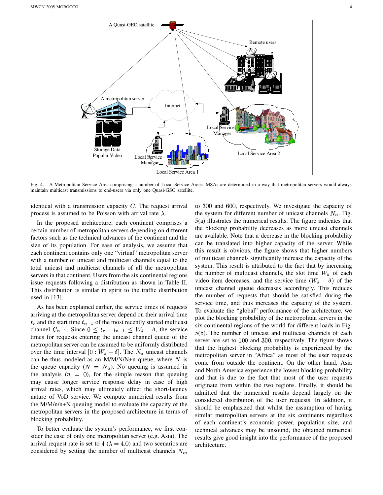

Fig. 4. A Metropolitan Service Area comprising a number of Local Service Areas. MSAs are determined in a way that metropolitan servers would always maintain multicast transmissions to end-users via only one Quasi-GSO satellite.

identical with a transmission capacity  $C$ . The request arrival process is assumed to be Poisson with arrival rate  $\lambda$ .

In the proposed architecture, each continent comprises a certain number of metropolitan servers depending on different factors such as the technical advances of the continent and the size of its population. For ease of analysis, we assume that each continent contains only one "virtual" metropolitan server with a number of unicast and multicast channels equal to the total unicast and multicast channels of all the metropolitan servers in that continent. Users from the six continental regions issue requests following a distribution as shown in Table II. This distribution is similar in spirit to the traffic distribution used in [13].

As has been explained earlier, the service times of requests arriving at the metropolitan server depend on their arrival time  $t_r$  and the start time  $t_{n-1}$  of the most recently started multicast channel  $C_{n-1}$ . Since  $0 \le t_r - t_{n-1} \le W_k - \delta$ , the service times for requests entering the unicast channel queue of the metropolitan server can be assumed to be uniformly distributed over the time interval  $[0: W_k - \delta]$ . The  $N_u$  unicast channels can be thus modeled as an M/M/N/N+n queue, where  $N$  is the queue capacity ( $N = N_u$ ). No queuing is assumed in the analysis  $(n = 0)$ , for the simple reason that queuing may cause longer service response delay in case of high arrival rates, which may ultimately effect the short-latency nature of VoD service. We compute numerical results from the M/M/n/n+N queuing model to evaluate the capacity of the metropolitan servers in the proposed architecture in terms of blocking probability.

To better evaluate the system's performance, we first consider the case of only one metropolitan server (e.g. Asia). The arrival request rate is set to  $4 (\lambda = 4.0)$  and two scenarios are considered by setting the number of multicast channels  $N_m$ 

to 300 and 600, respectively. We investigate the capacity of the system for different number of unicast channels  $N_u$ . Fig. 5(a) illustrates the numerical results. The figure indicates that the blocking probability decreases as more unicast channels are available. Note that a decrease in the blocking probability can be translated into higher capacity of the server. While this result is obvious, the figure shows that higher numbers of multicast channels significantly increase the capacity of the system. This result is attributed to the fact that by increasing the number of multicast channels, the slot time  $W_k$  of each video item decreases, and the service time  $(W_k - \delta)$  of the unicast channel queue decreases accordingly. This reduces the number of requests that should be satisfied during the service time, and thus increases the capacity of the system. To evaluate the "global" performance of the architecture, we plot the blocking probability of the metropolitan servers in the six continental regions of the world for different loads in Fig. 5(b). The number of unicast and multicast channels of each server are set to 100 and 300, respectively. The figure shows that the highest blocking probability is experienced by the metropolitan server in "Africa" as most of the user requests come from outside the continent. On the other hand, Asia and North America experience the lowest blocking probability and that is due to the fact that most of the user requests originate from within the two regions. Finally, it should be admitted that the numerical results depend largely on the considered distribution of the user requests. In addition, it should be emphasized that whilst the assumption of having similar metropolitan servers at the six continents regardless of each continent's economic power, population size, and technical advances may be unsound, the obtained numerical results give good insight into the performance of the proposed architecture.